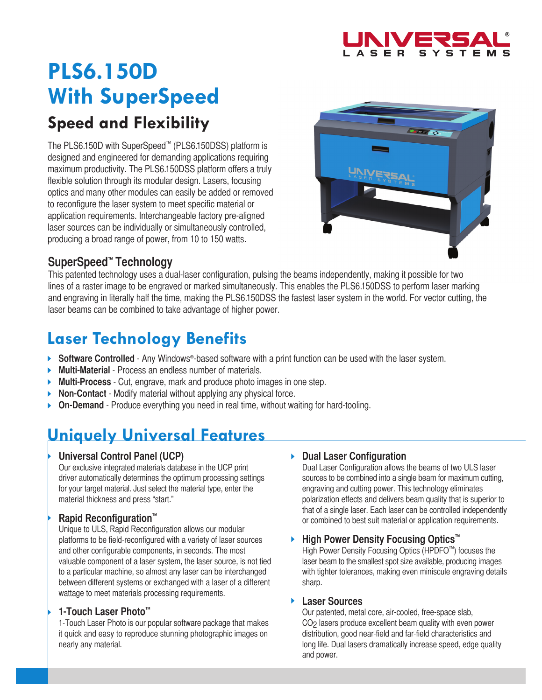

# **PLS6.150D With SuperSpeed Speed and Flexibility**

The PLS6.150D with SuperSpeed™ (PLS6.150DSS) platform is designed and engineered for demanding applications requiring maximum productivity. The PLS6.150DSS platform offers a truly flexible solution through its modular design. Lasers, focusing optics and many other modules can easily be added or removed to reconfigure the laser system to meet specific material or application requirements. Interchangeable factory pre-aligned laser sources can be individually or simultaneously controlled, producing a broad range of power, from 10 to 150 watts.



### **SuperSpeed™ Technology**

This patented technology uses a dual-laser configuration, pulsing the beams independently, making it possible for two lines of a raster image to be engraved or marked simultaneously. This enables the PLS6.150DSS to perform laser marking and engraving in literally half the time, making the PLS6.150DSS the fastest laser system in the world. For vector cutting, the laser beams can be combined to take advantage of higher power.

# **Laser Technology Benefits**

- **Software Controlled** Any Windows®-based software with a print function can be used with the laser system.
- $\blacktriangleright$ **Multi-Material** - Process an endless number of materials.
- **Multi-Process** Cut, engrave, mark and produce photo images in one step. Þ
- **Non-Contact** Modify material without applying any physical force. Þ
- **On-Demand** Produce everything you need in real time, without waiting for hard-tooling.

## **Uniquely Universal Features**

### **Universal Control Panel (UCP)**

Our exclusive integrated materials database in the UCP print driver automatically determines the optimum processing settings for your target material. Just select the material type, enter the material thickness and press "start."

### **Rapid Reconfiguration™**

Unique to ULS, Rapid Reconfiguration allows our modular platforms to be field-reconfigured with a variety of laser sources and other configurable components, in seconds. The most valuable component of a laser system, the laser source, is not tied to a particular machine, so almost any laser can be interchanged between different systems or exchanged with a laser of a different wattage to meet materials processing requirements.

### **1-Touch Laser Photo™**

1-Touch Laser Photo is our popular software package that makes it quick and easy to reproduce stunning photographic images on nearly any material.

### **Dual Laser Configuration**

Dual Laser Configuration allows the beams of two ULS laser sources to be combined into a single beam for maximum cutting, engraving and cutting power. This technology eliminates polarization effects and delivers beam quality that is superior to that of a single laser. Each laser can be controlled independently or combined to best suit material or application requirements.

### **High Power Density Focusing Optics™**

High Power Density Focusing Optics (HPDFO™) focuses the laser beam to the smallest spot size available, producing images with tighter tolerances, making even miniscule engraving details sharp.

#### **Laser Sources**

Our patented, metal core, air-cooled, free-space slab, CO2 lasers produce excellent beam quality with even power distribution, good near-field and far-field characteristics and long life. Dual lasers dramatically increase speed, edge quality and power.